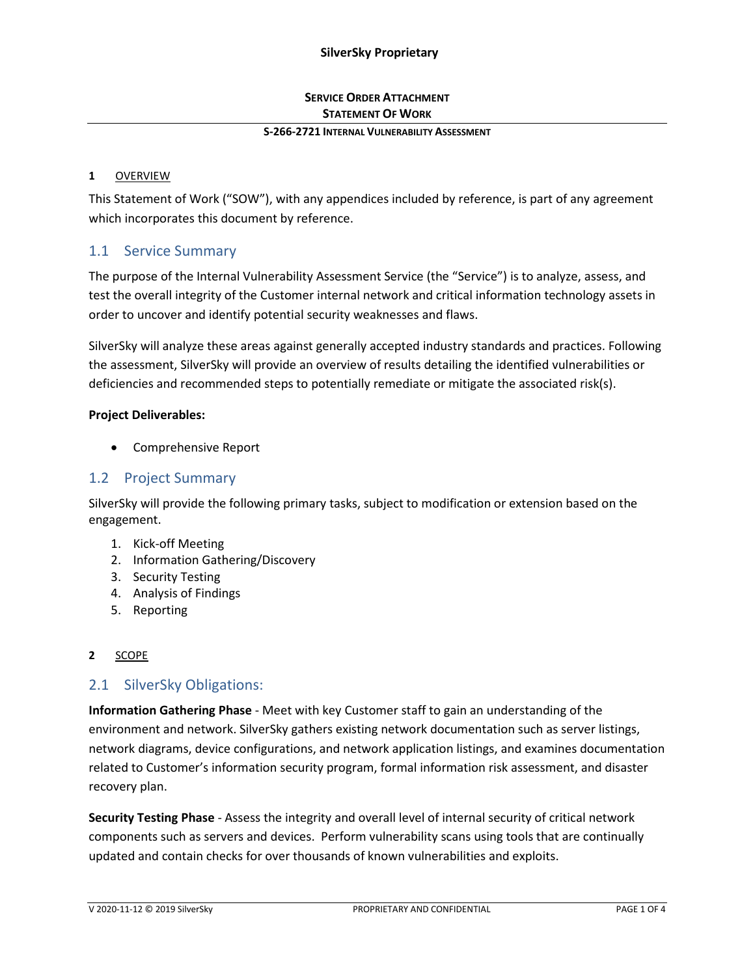## **SERVICE ORDER ATTACHMENT STATEMENT OF WORK**

### **S-266-2721 INTERNAL VULNERABILITY ASSESSMENT**

### **1** OVERVIEW

This Statement of Work ("SOW"), with any appendices included by reference, is part of any agreement which incorporates this document by reference.

## 1.1 Service Summary

The purpose of the Internal Vulnerability Assessment Service (the "Service") is to analyze, assess, and test the overall integrity of the Customer internal network and critical information technology assets in order to uncover and identify potential security weaknesses and flaws.

SilverSky will analyze these areas against generally accepted industry standards and practices. Following the assessment, SilverSky will provide an overview of results detailing the identified vulnerabilities or deficiencies and recommended steps to potentially remediate or mitigate the associated risk(s).

#### **Project Deliverables:**

• Comprehensive Report

## 1.2 Project Summary

SilverSky will provide the following primary tasks, subject to modification or extension based on the engagement.

- 1. Kick-off Meeting
- 2. Information Gathering/Discovery
- 3. Security Testing
- 4. Analysis of Findings
- 5. Reporting

### **2** SCOPE

## 2.1 SilverSky Obligations:

**Information Gathering Phase** - Meet with key Customer staff to gain an understanding of the environment and network. SilverSky gathers existing network documentation such as server listings, network diagrams, device configurations, and network application listings, and examines documentation related to Customer's information security program, formal information risk assessment, and disaster recovery plan.

**Security Testing Phase** - Assess the integrity and overall level of internal security of critical network components such as servers and devices. Perform vulnerability scans using tools that are continually updated and contain checks for over thousands of known vulnerabilities and exploits.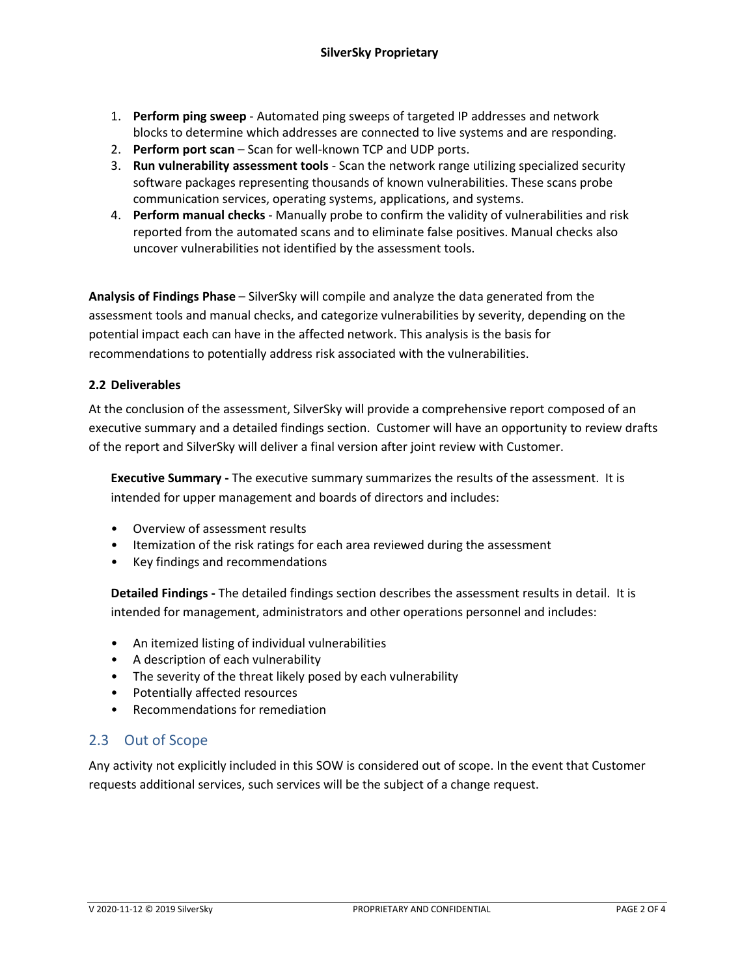- 1. **Perform ping sweep** Automated ping sweeps of targeted IP addresses and network blocks to determine which addresses are connected to live systems and are responding.
- 2. **Perform port scan** Scan for well-known TCP and UDP ports.
- 3. **Run vulnerability assessment tools** Scan the network range utilizing specialized security software packages representing thousands of known vulnerabilities. These scans probe communication services, operating systems, applications, and systems.
- 4. **Perform manual checks** Manually probe to confirm the validity of vulnerabilities and risk reported from the automated scans and to eliminate false positives. Manual checks also uncover vulnerabilities not identified by the assessment tools.

**Analysis of Findings Phase** – SilverSky will compile and analyze the data generated from the assessment tools and manual checks, and categorize vulnerabilities by severity, depending on the potential impact each can have in the affected network. This analysis is the basis for recommendations to potentially address risk associated with the vulnerabilities.

## **2.2 Deliverables**

At the conclusion of the assessment, SilverSky will provide a comprehensive report composed of an executive summary and a detailed findings section. Customer will have an opportunity to review drafts of the report and SilverSky will deliver a final version after joint review with Customer.

**Executive Summary -** The executive summary summarizes the results of the assessment. It is intended for upper management and boards of directors and includes:

- Overview of assessment results
- Itemization of the risk ratings for each area reviewed during the assessment
- Key findings and recommendations

**Detailed Findings -** The detailed findings section describes the assessment results in detail. It is intended for management, administrators and other operations personnel and includes:

- An itemized listing of individual vulnerabilities
- A description of each vulnerability
- The severity of the threat likely posed by each vulnerability
- Potentially affected resources
- Recommendations for remediation

## 2.3 Out of Scope

Any activity not explicitly included in this SOW is considered out of scope. In the event that Customer requests additional services, such services will be the subject of a change request.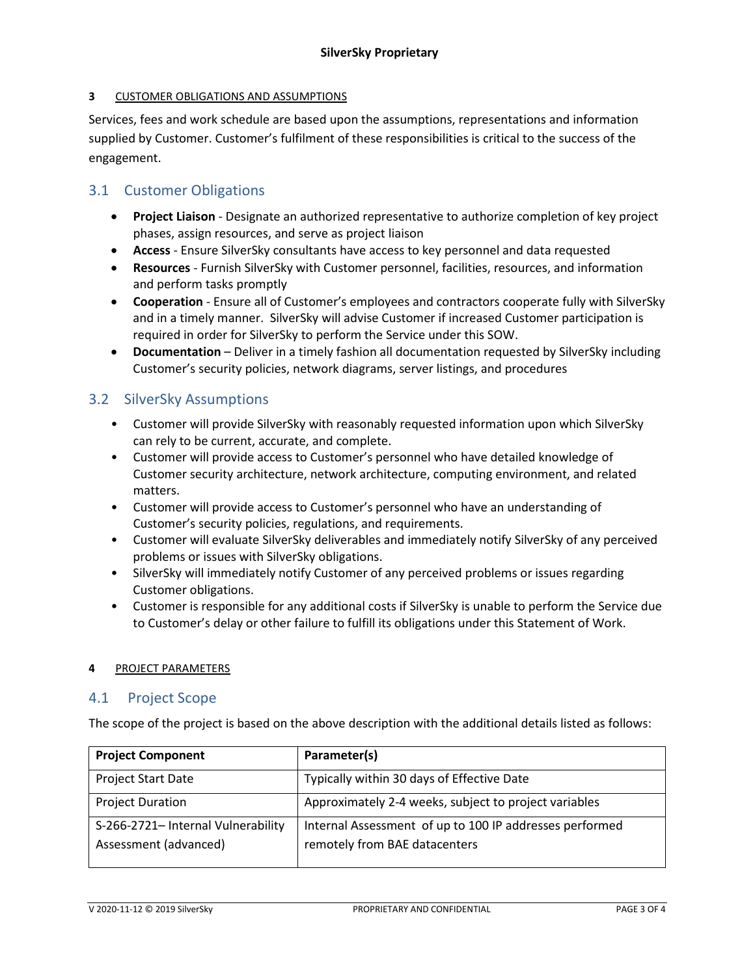### **3** CUSTOMER OBLIGATIONS AND ASSUMPTIONS

Services, fees and work schedule are based upon the assumptions, representations and information supplied by Customer. Customer's fulfilment of these responsibilities is critical to the success of the engagement.

# 3.1 Customer Obligations

- **Project Liaison** Designate an authorized representative to authorize completion of key project phases, assign resources, and serve as project liaison
- **Access**  Ensure SilverSky consultants have access to key personnel and data requested
- **Resources** Furnish SilverSky with Customer personnel, facilities, resources, and information and perform tasks promptly
- **Cooperation** Ensure all of Customer's employees and contractors cooperate fully with SilverSky and in a timely manner. SilverSky will advise Customer if increased Customer participation is required in order for SilverSky to perform the Service under this SOW.
- **Documentation** Deliver in a timely fashion all documentation requested by SilverSky including Customer's security policies, network diagrams, server listings, and procedures

# 3.2 SilverSky Assumptions

- Customer will provide SilverSky with reasonably requested information upon which SilverSky can rely to be current, accurate, and complete.
- Customer will provide access to Customer's personnel who have detailed knowledge of Customer security architecture, network architecture, computing environment, and related matters.
- Customer will provide access to Customer's personnel who have an understanding of Customer's security policies, regulations, and requirements.
- Customer will evaluate SilverSky deliverables and immediately notify SilverSky of any perceived problems or issues with SilverSky obligations.
- SilverSky will immediately notify Customer of any perceived problems or issues regarding Customer obligations.
- Customer is responsible for any additional costs if SilverSky is unable to perform the Service due to Customer's delay or other failure to fulfill its obligations under this Statement of Work.

### **4** PROJECT PARAMETERS

## 4.1 Project Scope

The scope of the project is based on the above description with the additional details listed as follows:

| <b>Project Component</b>           | Parameter(s)                                            |
|------------------------------------|---------------------------------------------------------|
| <b>Project Start Date</b>          | Typically within 30 days of Effective Date              |
| <b>Project Duration</b>            | Approximately 2-4 weeks, subject to project variables   |
| S-266-2721- Internal Vulnerability | Internal Assessment of up to 100 IP addresses performed |
| Assessment (advanced)              | remotely from BAE datacenters                           |